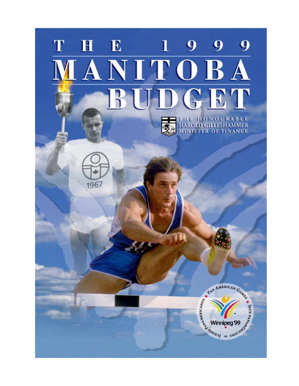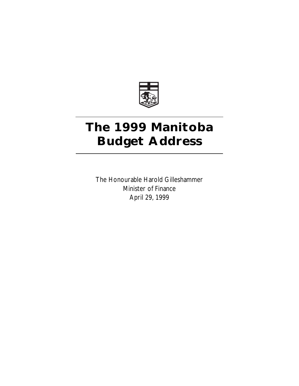

## **The 1999 Manitoba Budget Address**

The Honourable Harold Gilleshammer Minister of Finance April 29, 1999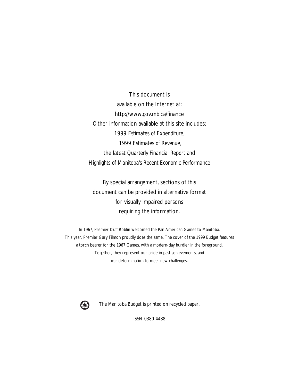This document is available on the Internet at: http://www.gov.mb.ca/finance Other information available at this site includes: *1999 Estimates of Expenditure, 1999 Estimates of Revenue,* the latest *Quarterly Financial Report* and *Highlights of Manitoba's Recent Economic Performance*

By special arrangement, sections of this document can be provided in alternative format for visually impaired persons requiring the information.

In 1967, Premier Duff Roblin welcomed the Pan American Games to Manitoba. This year, Premier Gary Filmon proudly does the same. The cover of the 1999 Budget features a torch bearer for the 1967 Games, with a modern-day hurdler in the foreground. Together, they represent our pride in past achievements, and our determination to meet new challenges.



The Manitoba Budget is printed on recycled paper.

ISSN 0380-4488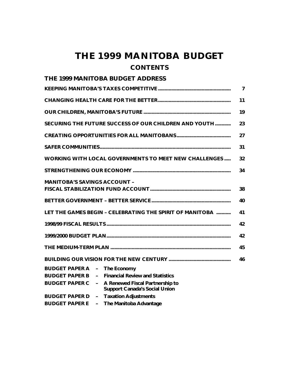## **THE 1999 MANITOBA BUDGET CONTENTS**

| $\overline{7}$                                                 |                                                              |    |  |  |
|----------------------------------------------------------------|--------------------------------------------------------------|----|--|--|
| 11                                                             |                                                              |    |  |  |
|                                                                |                                                              |    |  |  |
| SECURING THE FUTURE SUCCESS OF OUR CHILDREN AND YOUTH<br>23    |                                                              |    |  |  |
|                                                                |                                                              | 27 |  |  |
|                                                                |                                                              | 31 |  |  |
|                                                                | <b>WORKING WITH LOCAL GOVERNMENTS TO MEET NEW CHALLENGES</b> | 32 |  |  |
|                                                                |                                                              | 34 |  |  |
| <b>MANITOBA'S SAVINGS ACCOUNT -</b><br>38                      |                                                              |    |  |  |
| 40                                                             |                                                              |    |  |  |
| LET THE GAMES BEGIN - CELEBRATING THE SPIRIT OF MANITOBA<br>41 |                                                              |    |  |  |
| 42                                                             |                                                              |    |  |  |
| 42                                                             |                                                              |    |  |  |
| 45                                                             |                                                              |    |  |  |
| 46                                                             |                                                              |    |  |  |
| BUDGET PAPER A - The Economy                                   |                                                              |    |  |  |
| <b>BUDGET PAPER B</b><br>$\sim$                                | <b>Financial Review and Statistics</b>                       |    |  |  |
| <b>BUDGET PAPER C</b><br>$\sim$                                | A Renewed Fiscal Partnership to                              |    |  |  |
|                                                                | <b>Support Canada's Social Union</b>                         |    |  |  |
| <b>BUDGET PAPER D</b><br>$\equiv$                              | <b>Taxation Adjustments</b>                                  |    |  |  |
| <b>BUDGET PAPER E</b><br>$\sim$                                | The Manitoba Advantage                                       |    |  |  |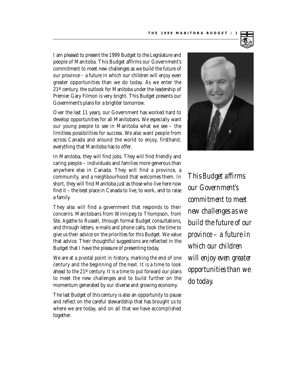I am pleased to present the 1999 Budget to the Legislature and people of Manitoba. This Budget affirms our Government's commitment to meet new challenges as we build the future of our province – a future in which our children will enjoy even greater opportunities than we do today. As we enter the 21st century, the outlook for Manitoba under the leadership of Premier Gary Filmon is very bright. This Budget presents our Government's plans for a brighter tomorrow.

Over the last 11 years, our Government has worked hard to develop opportunities for all Manitobans. We especially want our young people to see in Manitoba what we see – the limitless possibilities for success. We also want people from across Canada and around the world to enjoy, firsthand, everything that Manitoba has to offer.

In Manitoba, they will find jobs. They will find friendly and caring people – individuals and families more generous than anywhere else in Canada. They will find a province, a community, and a neighbourhood that welcomes them. In short, they will find Manitoba just as those who live here now find it – the best place in Canada to live, to work, and to raise a family.

They also will find a government that responds to their concerns. Manitobans from Winnipeg to Thompson, from Ste. Agathe to Russell, through formal Budget consultations, and through letters, e-mails and phone calls, took the time to give us their advice on the priorities for this Budget. We value that advice. Their thoughtful suggestions are reflected in the Budget that I have the pleasure of presenting today.

We are at a pivotal point in history, marking the end of one century and the beginning of the next. It is a time to look ahead to the 21st century. It is a time to put forward our plans to meet the new challenges and to build further on the momentum generated by our diverse and growing economy.

The last Budget of this century is also an opportunity to pause and reflect on the careful stewardship that has brought us to where we are today, and on all that we have accomplished together.



*This Budget affirms our Government's commitment to meet new challenges as we build the future of our province – a future in which our children will enjoy even greater opportunities than we do today.*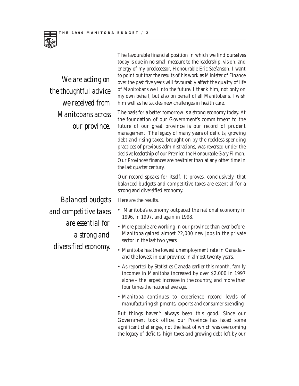

*We are acting on the thoughtful advice we received from Manitobans across our province.*

The favourable financial position in which we find ourselves today is due in no small measure to the leadership, vision, and energy of my predecessor, Honourable Eric Stefanson. I want to point out that the results of his work as Minister of Finance over the past five years will favourably affect the quality of life of Manitobans well into the future. I thank him, not only on my own behalf, but also on behalf of all Manitobans. I wish him well as he tackles new challenges in health care.

The basis for a better tomorrow is a strong economy today. At the foundation of our Government's commitment to the future of our great province is our record of prudent management. The legacy of many years of deficits, growing debt and rising taxes, brought on by the reckless spending practices of previous administrations, was reversed under the decisive leadership of our Premier, the Honourable Gary Filmon. Our Province's finances are healthier than at any other time in the last quarter century.

Our record speaks for itself. It proves, conclusively, that balanced budgets and competitive taxes are essential for a strong and diversified economy.

*Balanced budgets and competitive taxes are essential for a strong and diversified economy.*

Here are the results.

- Manitoba's economy outpaced the national economy in 1996, in 1997, and again in 1998.
- More people are working in our province than ever before. Manitoba gained almost 22,000 new jobs in the private sector in the last two years.
- Manitoba has the lowest unemployment rate in Canada and the lowest in our province in almost twenty years.
- As reported by Statistics Canada earlier this month, family incomes in Manitoba increased by over \$2,000 in 1997 alone – the largest increase in the country, and more than four times the national average.
- Manitoba continues to experience record levels of manufacturing shipments, exports and consumer spending.

But things haven't always been this good. Since our Government took office, our Province has faced some significant challenges, not the least of which was overcoming the legacy of deficits, high taxes and growing debt left by our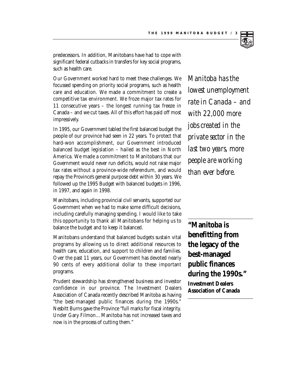

predecessors. In addition, Manitobans have had to cope with significant federal cutbacks in transfers for key social programs, such as health care.

Our Government worked hard to meet these challenges. We focussed spending on priority social programs, such as health care and education. We made a commitment to create a competitive tax environment. We froze major tax rates for 11 consecutive years – the longest running tax freeze in Canada – and we cut taxes. All of this effort has paid off most impressively.

In 1995, our Government tabled the first balanced budget the people of our province had seen in 22 years. To protect that hard-won accomplishment, our Government introduced balanced budget legislation – hailed as the best in North America. We made a commitment to Manitobans that our Government would never run deficits, would not raise major tax rates without a province-wide referendum, and would repay the Province's general purpose debt within 30 years. We followed up the 1995 Budget with balanced budgets in 1996, in 1997, and again in 1998.

Manitobans, including provincial civil servants, supported our Government when we had to make some difficult decisions, including carefully managing spending. I would like to take this opportunity to thank all Manitobans for helping us to balance the budget and to keep it balanced.

Manitobans understand that balanced budgets sustain vital programs by allowing us to direct additional resources to health care, education, and support to children and families. Over the past 11 years, our Government has devoted nearly 90 cents of every additional dollar to these important programs.

Prudent stewardship has strengthened business and investor confidence in our province. The Investment Dealers Association of Canada recently described Manitoba as having "the best-managed public finances during the 1990s." Nesbitt Burns gave the Province "full marks for fiscal integrity. Under Gary Filmon…Manitoba has not increased taxes and now is in the process of cutting them."

*Manitoba has the lowest unemployment rate in Canada – and with 22,000 more jobs created in the private sector in the last two years, more people are working than ever before.*

**"Manitoba is benefitting from the legacy of the best-managed public finances during the 1990s."** 

**Investment Dealers Association of Canada**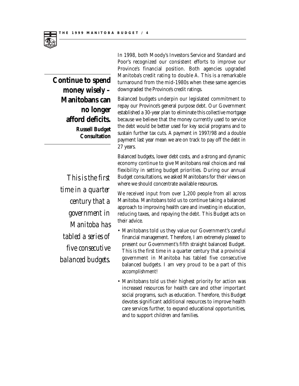

**Continue to spend money wisely – Manitobans can no longer afford deficits. Russell Budget Consultation**

> *This is the first time in a quarter century that a government in Manitoba has tabled a series of five consecutive balanced budgets.*

In 1998, both Moody's Investors Service and Standard and Poor's recognized our consistent efforts to improve our Province's financial position. Both agencies upgraded Manitoba's credit rating to double A. This is a remarkable turnaround from the mid-1980s when these same agencies downgraded the Province's credit ratings.

Balanced budgets underpin our legislated commitment to repay our Province's general purpose debt. Our Government established a 30-year plan to eliminate this collective mortgage because we believe that the money currently used to service the debt would be better used for key social programs and to sustain further tax cuts. A payment in 1997/98 and a double payment last year mean we are on track to pay off the debt in 27 years.

Balanced budgets, lower debt costs, and a strong and dynamic economy continue to give Manitobans real choices and real flexibility in setting budget priorities. During our annual Budget consultations, we asked Manitobans for their views on where we should concentrate available resources.

We received input from over 1,200 people from all across Manitoba. Manitobans told us to continue taking a balanced approach to improving health care and investing in education, reducing taxes, and repaying the debt. This Budget acts on their advice.

- Manitobans told us they value our Government's careful financial management. Therefore, I am extremely pleased to present our Government's fifth straight balanced Budget. This is the first time in a quarter century that a provincial government in Manitoba has tabled five consecutive balanced budgets. I am very proud to be a part of this accomplishment!
- Manitobans told us their highest priority for action was increased resources for health care and other important social programs, such as education. Therefore, this Budget devotes significant additional resources to improve health care services further, to expand educational opportunities, and to support children and families.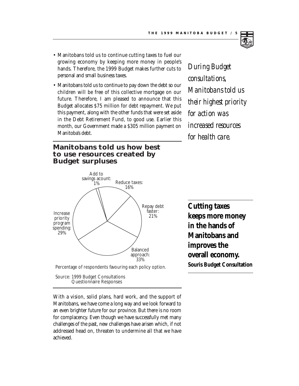

- Manitobans told us to continue cutting taxes to fuel our growing economy by keeping more money in people's hands. Therefore, the 1999 Budget makes further cuts to personal and small business taxes.
- Manitobans told us to continue to pay down the debt so our children will be free of this collective mortgage on our future. Therefore, I am pleased to announce that this Budget allocates \$75 million for debt repayment. We put this payment, along with the other funds that were set aside in the Debt Retirement Fund, to good use. Earlier this month, our Government made a \$305 million payment on Manitoba's debt.

## **Manitobans told us how best to use resources created by Budget surpluses**



Source: 1999 Budget Consultations Questionnaire Responses

With a vision, solid plans, hard work, and the support of Manitobans, we have come a long way and we look forward to an even brighter future for our province. But there is no room for complacency. Even though we have successfully met many challenges of the past, new challenges have arisen which, if not addressed head on, threaten to undermine all that we have achieved.

*During Budget consultations, Manitobans told us their highest priority for action was increased resources for health care.*

**Cutting taxes keeps more money in the hands of Manitobans and improves the overall economy. Souris Budget Consultation**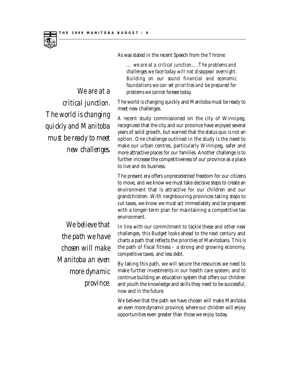

*challenges we face today will not disappear overnight. Building on our sound financial and economic foundations we can set priorities and be prepared for problems we cannot foresee today. We are at a* 

The world is changing quickly and Manitoba must be ready to meet new challenges.

*… we are at a critical junction….The problems and*

As was stated in the recent Speech from the Throne:

A recent study commissioned on the city of Winnipeg, recognized that the city and our province have enjoyed several years of solid growth, but warned that the status quo is not an option. One challenge outlined in the study is the need to make our urban centres, particularly Winnipeg, safer and more attractive places for our families. Another challenge is to further increase the competitiveness of our province as a place to live and do business.

The present era offers unprecedented freedom for our citizens to move, and we know we must take decisive steps to create an environment that is attractive for our children and our grandchildren. With neighbouring provinces taking steps to cut taxes, we know we must act immediately and be prepared with a longer-term plan for maintaining a competitive tax environment.

In line with our commitment to tackle these and other new challenges, this Budget looks ahead to the next century and charts a path that reflects the priorities of Manitobans. This is the path of fiscal fitness – a strong and growing economy, competitive taxes, and less debt.

By taking this path, we will secure the resources we need to make further investments in our health care system, and to continue building an education system that offers our children and youth the knowledge and skills they need to be successful, now and in the future.

We believe that the path we have chosen will make Manitoba an even more dynamic province, where our children will enjoy opportunities even greater than those we enjoy today.

*critical junction. The world is changing quickly and Manitoba must be ready to meet new challenges.*

> *We believe that the path we have chosen will make Manitoba an even more dynamic province.*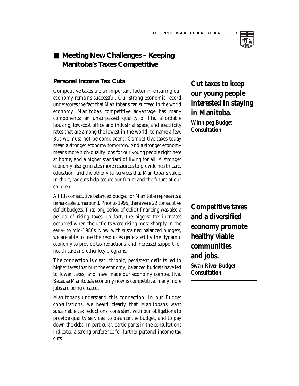## ■ Meeting New Challenges – Keeping **Manitoba's Taxes Competitive**

#### **Personal Income Tax Cuts**

Competitive taxes are an important factor in ensuring our economy remains successful. Our strong economic record underscores the fact that Manitobans can succeed in the world economy. Manitoba's competitive advantage has many components: an unsurpassed quality of life, affordable housing, low-cost office and industrial space, and electricity rates that are among the lowest in the world, to name a few. But we must not be complacent. Competitive taxes today mean a stronger economy tomorrow. And a stronger economy means more high-quality jobs for our young people right here at home, and a higher standard of living for all. A stronger economy also generates more resources to provide health care, education, and the other vital services that Manitobans value. In short, tax cuts help secure our future and the future of our children.

A fifth consecutive balanced budget for Manitoba represents a remarkable turnaround. Prior to 1995, there were 22 consecutive deficit budgets. That long period of deficit financing was also a period of rising taxes. In fact, the biggest tax increases occurred when the deficits were rising most sharply in the early- to mid-1980s. Now, with sustained balanced budgets, we are able to use the resources generated by the dynamic economy to provide tax reductions, and increased support for health care and other key programs.

The connection is clear: chronic, persistent deficits led to higher taxes that hurt the economy; balanced budgets have led to lower taxes, and have made our economy competitive. Because Manitoba's economy now is competitive, many more jobs are being created.

Manitobans understand this connection. In our Budget consultations, we heard clearly that Manitobans want sustainable tax reductions, consistent with our obligations to provide quality services, to balance the budget, and to pay down the debt. In particular, participants in the consultations indicated a strong preference for further personal income tax cuts.

**Cut taxes to keep our young people interested in staying in Manitoba. Winnipeg Budget Consultation**

**Competitive taxes and a diversified economy promote healthy viable communities and jobs. Swan River Budget Consultation**

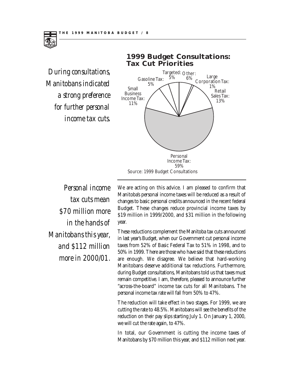

## **Tax Cut Priorities** Personal Small Business Income Tax: 11% Gasoline Tax: 5% Targeted: Other: 5% 6% Large Corporation Tax: 1% Retail Sales Tax: 13%

**1999 Budget Consultations:**

Income Tax: 59% Source: 1999 Budget Consultations

*Personal income tax cuts mean \$70 million more in the hands of Manitobans this year, and \$112 million more in 2000/01.*

We are acting on this advice. I am pleased to confirm that Manitoba's personal income taxes will be reduced as a result of changes to basic personal credits announced in the recent federal Budget. These changes reduce provincial income taxes by \$19 million in 1999/2000, and \$31 million in the following year.

These reductions complement the Manitoba tax cuts announced in last year's Budget, when our Government cut personal income taxes from 52% of Basic Federal Tax to 51% in 1998, and to 50% in 1999. There are those who have said that these reductions are enough. We disagree. We believe that hard-working Manitobans deserve additional tax reductions. Furthermore, during Budget consultations, Manitobans told us that taxes must remain competitive. I am, therefore, pleased to announce further "across-the-board" income tax cuts for all Manitobans. The personal income tax rate will fall from 50% to 47%.

The reduction will take effect in two stages. For 1999, we are cutting the rate to 48.5%. Manitobans will see the benefits of the reduction on their pay slips starting July 1. On January 1, 2000, we will cut the rate again, to 47%.

In total, our Government is cutting the income taxes of Manitobans by \$70 million this year, and \$112 million next year.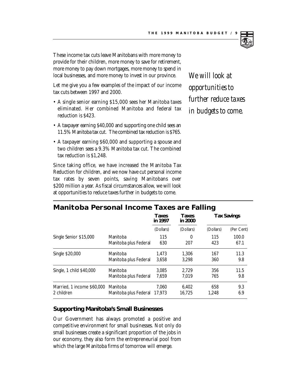

These income tax cuts leave Manitobans with more money to provide for their children, more money to save for retirement, more money to pay down mortgages, more money to spend in local businesses, and more money to invest in our province.

Let me give you a few examples of the impact of our income tax cuts between 1997 and 2000.

- A single senior earning \$15,000 sees her Manitoba taxes eliminated. Her combined Manitoba and federal tax reduction is \$423.
- A taxpayer earning \$40,000 and supporting one child sees an 11.5% Manitoba tax cut. The combined tax reduction is \$765.
- A taxpayer earning \$60,000 and supporting a spouse and two children sees a 9.3% Manitoba tax cut. The combined tax reduction is \$1,248.

Since taking office, we have increased the Manitoba Tax Reduction for children, and we now have cut personal income tax rates by seven points, saving Manitobans over \$200 million a year. As fiscal circumstances allow, we will look at opportunities to reduce taxes further in budgets to come.

*We will look at opportunities to further reduce taxes in budgets to come.*

## **Manitoba Personal Income Taxes are Falling**

|                            |                       | <b>Taxes</b><br>in 1997 | <b>Taxes</b><br>in 2000 | <b>Tax Savings</b> |            |
|----------------------------|-----------------------|-------------------------|-------------------------|--------------------|------------|
|                            |                       | (Dollars)               | (Dollars)               | (Dollars)          | (Per Cent) |
| Single Senior \$15,000     | Manitoba              | 115                     | 0                       | 115                | 100.0      |
|                            | Manitoba plus Federal | 630                     | 207                     | 423                | 67.1       |
| Single \$20,000            | Manitoba              | 1.473                   | 1.306                   | 167                | 11.3       |
|                            | Manitoba plus Federal | 3,658                   | 3.298                   | 360                | 9.8        |
| Single, 1 child \$40,000   | Manitoba              | 3.085                   | 2.729                   | 356                | 11.5       |
|                            | Manitoba plus Federal | 7.659                   | 7.019                   | 765                | 9.8        |
| Married, 1 income \$60,000 | Manitoba              | 7.060                   | 6.402                   | 658                | 9.3        |
| 2 children                 | Manitoba plus Federal | 17.973                  | 16,725                  | 1.248              | 6.9        |

#### **Supporting Manitoba's Small Businesses**

Our Government has always promoted a positive and competitive environment for small businesses. Not only do small businesses create a significant proportion of the jobs in our economy, they also form the entrepreneurial pool from which the large Manitoba firms of tomorrow will emerge.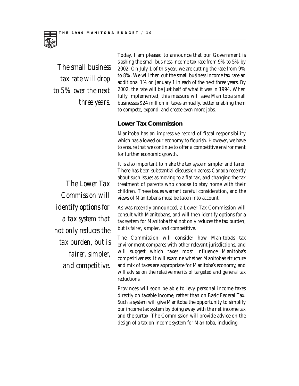

*The small business tax rate will drop to 5% over the next three years.*

Today, I am pleased to announce that our Government is slashing the small business income tax rate from 9% to 5% by 2002. On July 1 of this year, we are cutting the rate from 9% to 8%. We will then cut the small business income tax rate an additional 1% on January 1 in each of the next three years. By 2002, the rate will be just half of what it was in 1994. When fully implemented, this measure will save Manitoba small businesses \$24 million in taxes annually, better enabling them to compete, expand, and create even more jobs.

#### **Lower Tax Commission**

Manitoba has an impressive record of fiscal responsibility which has allowed our economy to flourish. However, we have to ensure that we continue to offer a competitive environment for further economic growth.

It is also important to make the tax system simpler and fairer. There has been substantial discussion across Canada recently about such issues as moving to a flat tax, and changing the tax treatment of parents who choose to stay home with their children. These issues warrant careful consideration, and the views of Manitobans must be taken into account.

As was recently announced, a Lower Tax Commission will consult with Manitobans, and will then identify options for a tax system for Manitoba that not only reduces the tax burden, but is fairer, simpler, and competitive.

The Commission will consider how Manitoba's tax environment compares with other relevant jurisdictions, and will suggest which taxes most influence Manitoba's competitiveness. It will examine whether Manitoba's structure and mix of taxes are appropriate for Manitoba's economy, and will advise on the relative merits of targeted and general tax reductions.

Provinces will soon be able to levy personal income taxes directly on taxable income, rather than on Basic Federal Tax. Such a system will give Manitoba the opportunity to simplify our income tax system by doing away with the net income tax and the surtax. The Commission will provide advice on the design of a tax on income system for Manitoba, including:

*The Lower Tax Commission will identify options for a tax system that not only reduces the tax burden, but is fairer, simpler, and competitive.*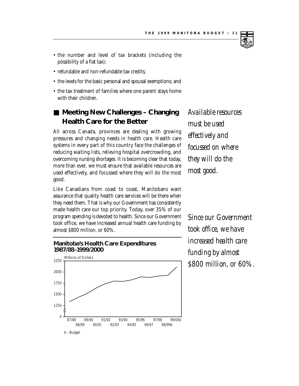- the number and level of tax brackets (including the possibility of a flat tax);
- refundable and non-refundable tax credits;
- the levels for the basic personal and spousal exemptions; and
- the tax treatment of families where one parent stays home with their children.

## ■ Meeting New Challenges – Changing **Health Care for the Better**

All across Canada, provinces are dealing with growing pressures and changing needs in health care. Health care systems in every part of this country face the challenges of reducing waiting lists, relieving hospital overcrowding, and overcoming nursing shortages. It is becoming clear that today, more than ever, we must ensure that available resources are used effectively, and focussed where they will do the most good.

Like Canadians from coast to coast, Manitobans want assurance that quality health care services will be there when they need them. That is why our Government has consistently made health care our top priority. Today, over 35% of our program spending is devoted to health. Since our Government took office, we have increased annual health care funding by almost \$800 million, or 60%.





*Available resources must be used effectively and focussed on where they will do the most good.*

*Since our Government took office, we have increased health care funding by almost \$800 million, or 60%.*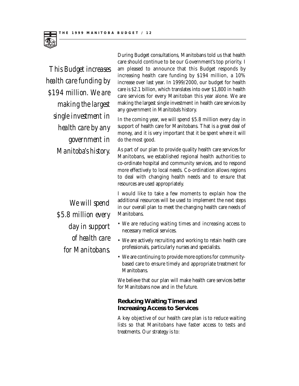

*This Budget increases health care funding by \$194 million. We are making the largest single investment in health care by any government in Manitoba's history.*

During Budget consultations, Manitobans told us that health care should continue to be our Government's top priority. I am pleased to announce that this Budget responds by increasing health care funding by \$194 million, a 10% increase over last year. In 1999/2000, our budget for health care is \$2.1 billion, which translates into over \$1,800 in health care services for every Manitoban this year alone. We are making the largest single investment in health care services by any government in Manitoba's history.

In the coming year, we will spend \$5.8 million every day in support of health care for Manitobans. That is a great deal of money, and it is very important that it be spent where it will do the most good.

As part of our plan to provide quality health care services for Manitobans, we established regional health authorities to co-ordinate hospital and community services, and to respond more effectively to local needs. Co-ordination allows regions to deal with changing health needs and to ensure that resources are used appropriately.

I would like to take a few moments to explain how the additional resources will be used to implement the next steps in our overall plan to meet the changing health care needs of Manitobans.

- We are reducing waiting times and increasing access to necessary medical services.
- We are actively recruiting and working to retain health care professionals, particularly nurses and specialists.
- We are continuing to provide more options for communitybased care to ensure timely and appropriate treatment for Manitobans.

We believe that our plan will make health care services better for Manitobans now and in the future.

## **Reducing Waiting Times and Increasing Access to Services**

A key objective of our health care plan is to reduce waiting lists so that Manitobans have faster access to tests and treatments. Our strategy is to:

*We will spend \$5.8 million every day in support of health care for Manitobans.*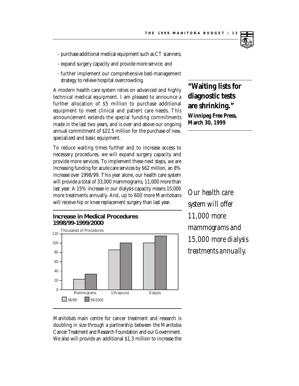- purchase additional medical equipment such as CT scanners;
- expand surgery capacity and provide more service; and
- further implement our comprehensive bed-management strategy to relieve hospital overcrowding.

A modern health care system relies on advanced and highly technical medical equipment. I am pleased to announce a further allocation of \$5 million to purchase additional equipment to meet clinical and patient care needs. This announcement extends the special funding commitments made in the last two years, and is over and above our ongoing annual commitment of \$22.5 million for the purchase of new, specialized and basic equipment.

To reduce waiting times further and to increase access to necessary procedures, we will expand surgery capacity and provide more services. To implement these next steps, we are increasing funding for acute care services by \$62 million, an 8% increase over 1998/99. This year alone, our health care system will provide a total of 33,000 mammograms, 11,000 more than last year. A 15% increase in our dialysis capacity means 15,000 more treatments annually. And, up to 600 more Manitobans will receive hip or knee replacement surgery than last year.



**"Waiting lists for diagnostic tests are shrinking." Winnipeg Free Press, March 30, 1999**

*Our health care system will offer 11,000 more mammograms and 15,000 more dialysis treatments annually.*

Manitoba's main centre for cancer treatment and research is doubling in size through a partnership between the Manitoba Cancer Treatment and Research Foundation and our Government. We also will provide an additional \$1.3 million to increase the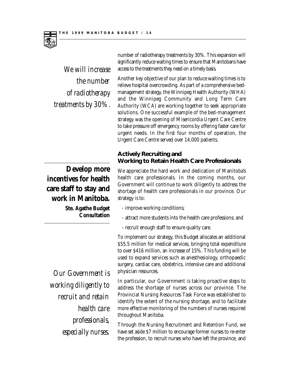

*We will increase the number of radiotherapy treatments by 30%.* 

**Develop more incentives for health care staff to stay and work in Manitoba.** 

> **Ste. Agathe Budget Consultation**

number of radiotherapy treatments by 30%. This expansion will significantly reduce waiting times to ensure that Manitobans have access to the treatments they need on a timely basis.

Another key objective of our plan to reduce waiting times is to relieve hospital overcrowding. As part of a comprehensive bedmanagement strategy, the Winnipeg Health Authority (WHA) and the Winnipeg Community and Long Term Care Authority (WCA) are working together to seek appropriate solutions. One successful example of the bed-management strategy was the opening of Misericordia Urgent Care Centre to take pressure off emergency rooms by offering faster care for urgent needs. In the first four months of operation, the Urgent Care Centre served over 14,000 patients.

## **Actively Recruiting and Working to Retain Health Care Professionals**

We appreciate the hard work and dedication of Manitoba's health care professionals. In the coming months, our Government will continue to work diligently to address the shortage of health care professionals in our province. Our strategy is to:

- improve working conditions;
- attract more students into the health care professions; and
- recruit enough staff to ensure quality care.

To implement our strategy, this Budget allocates an additional \$55.5 million for medical services, bringing total expenditure to over \$416 million, an increase of 15%. This funding will be used to expand services such as anesthesiology, orthopaedic surgery, cardiac care, obstetrics, intensive care and additional physician resources.

In particular, our Government is taking proactive steps to address the shortage of nurses across our province. The Provincial Nursing Resources Task Force was established to identify the extent of the nursing shortage, and to facilitate more effective monitoring of the numbers of nurses required throughout Manitoba.

Through the Nursing Recruitment and Retention Fund, we have set aside \$7 million to encourage former nurses to re-enter the profession, to recruit nurses who have left the province, and

*Our Government is working diligently to recruit and retain health care professionals, especially nurses.*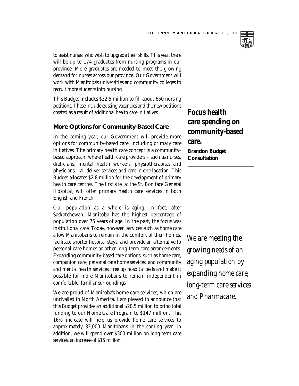

to assist nurses who wish to upgrade their skills. This year, there will be up to 174 graduates from nursing programs in our province. More graduates are needed to meet the growing demand for nurses across our province. Our Government will work with Manitoba's universities and community colleges to recruit more students into nursing.

This Budget includes \$32.5 million to fill about 650 nursing positions. These include existing vacancies and the new positions created as a result of additional health care initiatives.

#### **More Options for Community-Based Care**

In the coming year, our Government will provide more options for community-based care, including primary care initiatives. The primary health care concept is a communitybased approach, where health care providers – such as nurses, dieticians, mental health workers, physiotherapists and physicians – all deliver services and care in one location. This Budget allocates \$2.8 million for the development of primary health care centres. The first site, at the St. Boniface General Hospital, will offer primary health care services in both English and French.

Our population as a whole is aging. In fact, after Saskatchewan, Manitoba has the highest percentage of population over 75 years of age. In the past, the focus was institutional care. Today, however, services such as home care allow Manitobans to remain in the comfort of their homes, facilitate shorter hospital stays, and provide an alternative to personal care homes or other long-term care arrangements. Expanding community-based care options, such as home care, companion care, personal care home services, and community and mental health services, free up hospital beds and make it possible for more Manitobans to remain independent in comfortable, familiar surroundings.

We are proud of Manitoba's home care services, which are unrivalled in North America. I am pleased to announce that this Budget provides an additional \$20.5 million to bring total funding to our Home Care Program to \$147 million. This 16% increase will help us provide home care services to approximately 32,000 Manitobans in the coming year. In addition, we will spend over \$300 million on long-term care services, an increase of \$15 million.

**Focus health care spending on community-based care. Brandon Budget Consultation**

*We are meeting the growing needs of an aging population by expanding home care, long-term care services and Pharmacare.*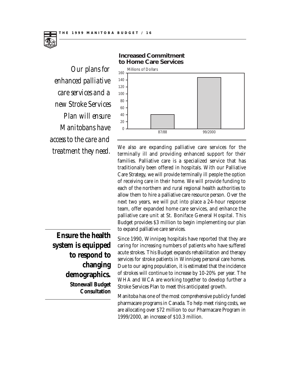

*enhanced palliative care services and a new Stroke Services Plan will ensure Manitobans have access to the care and treatment they need.*



We also are expanding palliative care services for the terminally ill and providing enhanced support for their families. Palliative care is a specialized service that has traditionally been offered in hospitals. With our Palliative Care Strategy, we will provide terminally ill people the option of receiving care in their home. We will provide funding to each of the northern and rural regional health authorities to allow them to hire a palliative care resource person. Over the next two years, we will put into place a 24-hour response team, offer expanded home care services, and enhance the palliative care unit at St. Boniface General Hospital. This Budget provides \$3 million to begin implementing our plan to expand palliative care services.

Since 1990, Winnipeg hospitals have reported that they are caring for increasing numbers of patients who have suffered acute strokes. This Budget expands rehabilitation and therapy services for stroke patients in Winnipeg personal care homes. Due to our aging population, it is estimated that the incidence of strokes will continue to increase by 10-20% per year. The WHA and WCA are working together to develop further a Stroke Services Plan to meet this anticipated growth.

Manitoba has one of the most comprehensive publicly funded pharmacare programs in Canada. To help meet rising costs, we are allocating over \$72 million to our Pharmacare Program in 1999/2000, an increase of \$10.3 million.

**Ensure the health system is equipped to respond to changing demographics. Stonewall Budget Consultation**

#### **Increased Commitment to Home Care Services**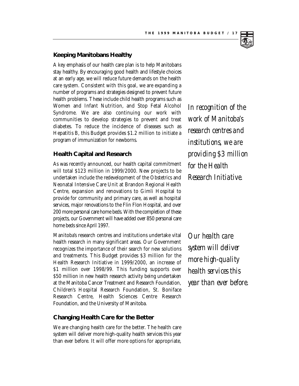#### **Keeping Manitobans Healthy**

A key emphasis of our health care plan is to help Manitobans stay healthy. By encouraging good health and lifestyle choices at an early age, we will reduce future demands on the health care system. Consistent with this goal, we are expanding a number of programs and strategies designed to prevent future health problems. These include child health programs such as Women and Infant Nutrition, and Stop Fetal Alcohol Syndrome. We are also continuing our work with communities to develop strategies to prevent and treat diabetes. To reduce the incidence of diseases such as Hepatitis B, this Budget provides \$1.2 million to initiate a program of immunization for newborns.

#### **Health Capital and Research**

As was recently announced, our health capital commitment will total \$123 million in 1999/2000. New projects to be undertaken include the redevelopment of the Obstetrics and Neonatal Intensive Care Unit at Brandon Regional Health Centre, expansion and renovations to Gimli Hospital to provide for community and primary care, as well as hospital services, major renovations to the Flin Flon Hospital, and over 200 more personal care home beds. With the completion of these projects, our Government will have added over 850 personal care home beds since April 1997.

Manitoba's research centres and institutions undertake vital health research in many significant areas. Our Government recognizes the importance of their search for new solutions and treatments. This Budget provides \$3 million for the Health Research Initiative in 1999/2000, an increase of \$1 million over 1998/99. This funding supports over \$50 million in new health research activity being undertaken at the Manitoba Cancer Treatment and Research Foundation, Children's Hospital Research Foundation, St. Boniface Research Centre, Health Sciences Centre Research Foundation, and the University of Manitoba.

#### **Changing Health Care for the Better**

We are changing health care for the better. The health care system will deliver more high-quality health services this year than ever before. It will offer more options for appropriate,

*In recognition of the work of Manitoba's research centres and institutions, we are providing \$3 million for the Health Research Initiative.*

*Our health care system will deliver more high-quality health services this year than ever before.*

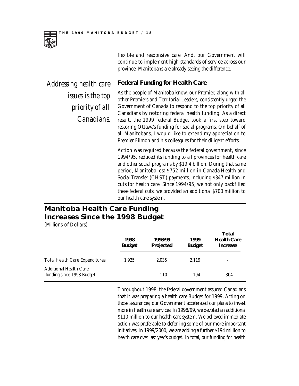

flexible and responsive care. And, our Government will continue to implement high standards of service across our province. Manitobans are already seeing the difference.

## **Federal Funding for Health Care**

*Addressing health care issues is the top priority of all Canadians.*

As the people of Manitoba know, our Premier, along with all other Premiers and Territorial Leaders, consistently urged the Government of Canada to respond to the top priority of all Canadians by restoring federal health funding. As a direct result, the 1999 federal Budget took a first step toward restoring Ottawa's funding for social programs. On behalf of all Manitobans, I would like to extend my appreciation to Premier Filmon and his colleagues for their diligent efforts.

Action was required because the federal government, since 1994/95, reduced its funding to all provinces for health care and other social programs by \$19.4 billion. During that same period, Manitoba lost \$752 million in Canada Health and Social Transfer (CHST) payments, including \$347 million in cuts for health care. Since 1994/95, we not only backfilled these federal cuts, we provided an additional \$700 million to our health care system.

## **Manitoba Health Care Funding Increases Since the 1998 Budget**

(Millions of Dollars)

|                                                            | 1998<br><b>Budget</b> | 1998/99<br>Projected | 1999<br><b>Budget</b> | Total<br><b>Health Care</b><br>Increase |
|------------------------------------------------------------|-----------------------|----------------------|-----------------------|-----------------------------------------|
| <b>Total Health Care Expenditures</b>                      | 1.925                 | 2.035                | 2.119                 | $\overline{\phantom{a}}$                |
| <b>Additional Health Care</b><br>funding since 1998 Budget |                       | 110                  | 194                   | 304                                     |

Throughout 1998, the federal government assured Canadians that it was preparing a health care Budget for 1999. Acting on those assurances, our Government accelerated our plans to invest more in health care services. In 1998/99, we devoted an additional \$110 million to our health care system. We believed immediate action was preferable to deferring some of our more important initiatives. In 1999/2000, we are adding a further \$194 million to health care over last year's budget. In total, our funding for health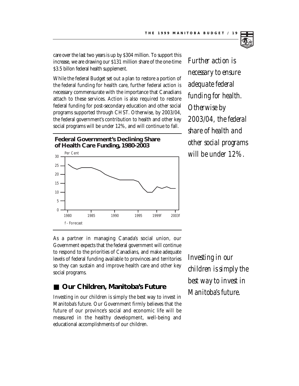

care over the last two years is up by \$304 million. To support this increase, we are drawing our \$131 million share of the one-time \$3.5 billon federal health supplement.

While the federal Budget set out a plan to restore a portion of the federal funding for health care, further federal action is necessary commensurate with the importance that Canadians attach to these services. Action is also required to restore federal funding for post-secondary education and other social programs supported through CHST. Otherwise, by 2003/04, the federal government's contribution to health and other key social programs will be under 12%, and will continue to fall.

**Federal Government's Declining Share of Health Care Funding, 1980-2003**



*Further action is necessary to ensure adequate federal funding for health. Otherwise by 2003/04, the federal share of health and other social programs will be under 12%.*

As a partner in managing Canada's social union, our Government expects that the federal government will continue to respond to the priorities of Canadians, and make adequate levels of federal funding available to provinces and territories so they can sustain and improve health care and other key social programs.

## ■ Our Children, Manitoba's Future

Investing in our children is simply the best way to invest in Manitoba's future. Our Government firmly believes that the future of our province's social and economic life will be measured in the healthy development, well-being and educational accomplishments of our children.

*Investing in our children is simply the best way to invest in Manitoba's future.*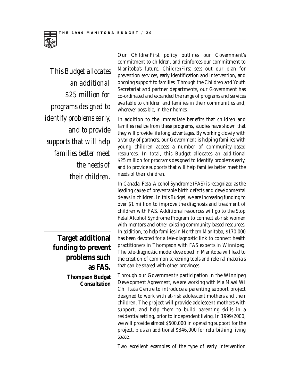

*This Budget allocates an additional \$25 million for programs designed to identify problems early, and to provide supports that will help families better meet the needs of their children.* 

> **Target additional funding to prevent problems such as FAS.**

> > **Thompson Budget Consultation**

Our *ChildrenFirst* policy outlines our Government's commitment to children, and reinforces our commitment to Manitoba's future. *ChildrenFirst* sets out our plan for prevention services, early identification and intervention, and ongoing support to families. Through the Children and Youth Secretariat and partner departments, our Government has co-ordinated and expanded the range of programs and services available to children and families in their communities and, wherever possible, in their homes.

In addition to the immediate benefits that children and families realize from these programs, studies have shown that they will provide life long advantages. By working closely with a variety of partners, our Government is helping families with young children access a number of community-based resources. In total, this Budget allocates an additional \$25 million for programs designed to identify problems early, and to provide supports that will help families better meet the needs of their children.

In Canada, Fetal Alcohol Syndrome (FAS) is recognized as the leading cause of preventable birth defects and developmental delays in children. In this Budget, we are increasing funding to over \$1 million to improve the diagnosis and treatment of children with FAS. Additional resources will go to the Stop Fetal Alcohol Syndrome Program to connect at-risk women with mentors and other existing community-based resources. In addition, to help families in Northern Manitoba, \$170,000 has been devoted for a tele-diagnostic link to connect health practitioners in Thompson with FAS experts in Winnipeg. The tele-diagnostic model developed in Manitoba will lead to the creation of common screening tools and referral materials that can be shared with other provinces.

Through our Government's participation in the Winnipeg Development Agreement, we are working with Ma Mawi Wi Chi Itata Centre to introduce a parenting support project designed to work with at-risk adolescent mothers and their children. The project will provide adolescent mothers with support, and help them to build parenting skills in a residential setting, prior to independent living. In 1999/2000, we will provide almost \$500,000 in operating support for the project, plus an additional \$346,000 for refurbishing living space.

Two excellent examples of the type of early intervention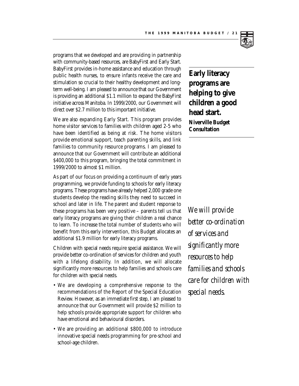

programs that we developed and are providing in partnership with community-based resources, are BabyFirst and Early Start. BabyFirst provides in-home assistance and education through public health nurses, to ensure infants receive the care and stimulation so crucial to their healthy development and longterm well-being. I am pleased to announce that our Government is providing an additional \$1.1 million to expand the BabyFirst initiative across Manitoba. In 1999/2000, our Government will direct over \$2.7 million to this important initiative.

We are also expanding Early Start. This program provides home visitor services to families with children aged 2-5 who have been identified as being at risk. The home visitors provide emotional support, teach parenting skills, and link families to community resource programs. I am pleased to announce that our Government will contribute an additional \$400,000 to this program, bringing the total commitment in 1999/2000 to almost \$1 million.

As part of our focus on providing a continuum of early years programming, we provide funding to schools for early literacy programs. These programs have already helped 2,000 grade one students develop the reading skills they need to succeed in school and later in life. The parent and student response to these programs has been very positive – parents tell us that early literacy programs are giving their children a real chance to learn. To increase the total number of students who will benefit from this early intervention, this Budget allocates an additional \$1.9 million for early literacy programs.

Children with special needs require special assistance. We will provide better co-ordination of services for children and youth with a lifelong disability. In addition, we will allocate significantly more resources to help families and schools care for children with special needs.

- We are developing a comprehensive response to the recommendations of the Report of the Special Education Review. However, as an immediate first step, I am pleased to announce that our Government will provide \$2 million to help schools provide appropriate support for children who have emotional and behavioural disorders.
- We are providing an additional \$800,000 to introduce innovative special needs programming for pre-school and school-age children.

**Early literacy programs are helping to give children a good head start. Niverville Budget Consultation**

*We will provide better co-ordination of services and significantly more resources to help families and schools care for children with special needs.*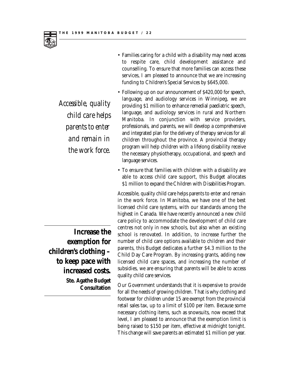

*Accessible, quality child care helps parents to enter and remain in the work force.*

- Families caring for a child with a disability may need access to respite care, child development assistance and counselling. To ensure that more families can access these services, I am pleased to announce that we are increasing funding to Children's Special Services by \$645,000.
- Following up on our announcement of \$420,000 for speech, language, and audiology services in Winnipeg, we are providing \$1 million to enhance remedial paediatric speech, language, and audiology services in rural and Northern Manitoba. In conjunction with service providers, professionals, and parents, we will develop a comprehensive and integrated plan for the delivery of therapy services for all children throughout the province. A provincial therapy program will help children with a lifelong disability receive the necessary physiotherapy, occupational, and speech and language services.
- To ensure that families with children with a disability are able to access child care support, this Budget allocates \$1 million to expand the Children with Disabilities Program.

Accessible, quality child care helps parents to enter and remain in the work force. In Manitoba, we have one of the best licensed child care systems, with our standards among the highest in Canada. We have recently announced a new child care policy to accommodate the development of child care centres not only in new schools, but also when an existing school is renovated. In addition, to increase further the number of child care options available to children and their parents, this Budget dedicates a further \$4.3 million to the Child Day Care Program. By increasing grants, adding new licensed child care spaces, and increasing the number of subsidies, we are ensuring that parents will be able to access quality child care services.

Our Government understands that it is expensive to provide for all the needs of growing children. That is why clothing and footwear for children under 15 are exempt from the provincial retail sales tax, up to a limit of \$100 per item. Because some necessary clothing items, such as snowsuits, now exceed that level, I am pleased to announce that the exemption limit is being raised to \$150 per item, effective at midnight tonight. This change will save parents an estimated \$1 million per year.

**Increase the exemption for children's clothing – to keep pace with increased costs.** 

**Ste. Agathe Budget Consultation**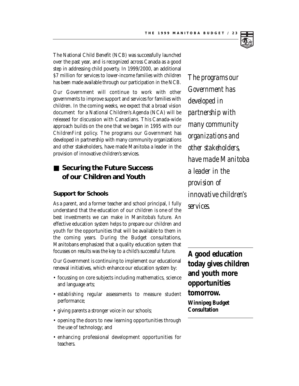

The National Child Benefit (NCB) was successfully launched over the past year, and is recognized across Canada as a good step in addressing child poverty. In 1999/2000, an additional \$7 million for services to lower-income families with children has been made available through our participation in the NCB.

Our Government will continue to work with other governments to improve support and services for families with children. In the coming weeks, we expect that a broad vision document for a National Children's Agenda (NCA) will be released for discussion with Canadians. This Canada-wide approach builds on the one that we began in 1995 with our *ChildrenFirst* policy. The programs our Government has developed in partnership with many community organizations and other stakeholders, have made Manitoba a leader in the provision of innovative children's services.

## ■ Securing the Future Success **of our Children and Youth**

#### **Support for Schools**

As a parent, and a former teacher and school principal, I fully understand that the education of our children is one of the best investments we can make in Manitoba's future. An effective education system helps to prepare our children and youth for the opportunities that will be available to them in the coming years. During the Budget consultations, Manitobans emphasized that a quality education system that focusses on results was the key to a child's successful future.

Our Government is continuing to implement our educational renewal initiatives, which enhance our education system by:

- focussing on core subjects including mathematics, science and language arts;
- establishing regular assessments to measure student performance;
- giving parents a stronger voice in our schools;
- opening the doors to new learning opportunities through the use of technology; and
- enhancing professional development opportunities for teachers.

*The programs our Government has developed in partnership with many community organizations and other stakeholders, have made Manitoba a leader in the provision of innovative children's services.*

**A good education today gives children and youth more opportunities tomorrow.** 

**Winnipeg Budget Consultation**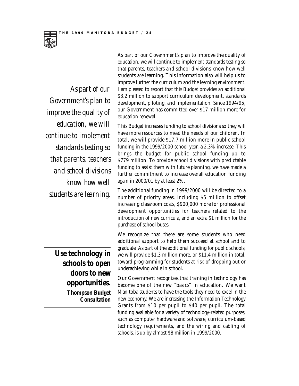

*As part of our Government's plan to improve the quality of education, we will continue to implement standards testing so that parents, teachers and school divisions know how well students are learning.*

As part of our Government's plan to improve the quality of education, we will continue to implement standards testing so that parents, teachers and school divisions know how well students are learning. This information also will help us to improve further the curriculum and the learning environment. I am pleased to report that this Budget provides an additional \$3.2 million to support curriculum development, standards development, piloting, and implementation. Since 1994/95, our Government has committed over \$17 million more for education renewal.

This Budget increases funding to school divisions so they will have more resources to meet the needs of our children. In total, we will provide \$17.7 million more in public school funding in the 1999/2000 school year, a 2.3% increase. This brings the budget for public school funding up to \$779 million. To provide school divisions with predictable funding to assist them with future planning, we have made a further commitment to increase overall education funding again in 2000/01 by at least 2%.

The additional funding in 1999/2000 will be directed to a number of priority areas, including \$5 million to offset increasing classroom costs, \$900,000 more for professional development opportunities for teachers related to the introduction of new curricula, and an extra \$1 million for the purchase of school buses.

We recognize that there are some students who need additional support to help them succeed at school and to graduate. As part of the additional funding for public schools, we will provide \$1.3 million more, or \$11.4 million in total, toward programming for students at risk of dropping out or underachieving while in school.

Our Government recognizes that training in technology has become one of the new "basics" in education. We want Manitoba students to have the tools they need to excel in the new economy. We are increasing the Information Technology Grants from \$10 per pupil to \$40 per pupil. The total funding available for a variety of technology-related purposes, such as computer hardware and software, curriculum-based technology requirements, and the wiring and cabling of schools, is up by almost \$8 million in 1999/2000.

**Use technology in schools to open doors to new opportunities. Thompson Budget Consultation**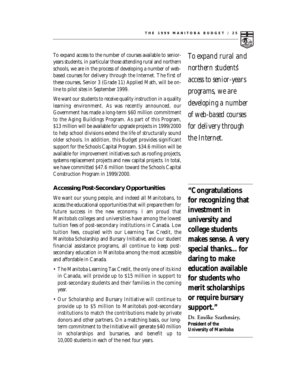

To expand access to the number of courses available to senioryears students, in particular those attending rural and northern schools, we are in the process of developing a number of webbased courses for delivery through the Internet. The first of these courses, Senior 3 (Grade 11) Applied Math, will be online to pilot sites in September 1999.

We want our students to receive quality instruction in a quality learning environment. As was recently announced, our Government has made a long-term \$60 million commitment to the Aging Buildings Program. As part of this Program, \$13 million will be available for upgrade projects in 1999/2000 to help school divisions extend the life of structurally sound older schools. In addition, this Budget provides significant support for the Schools Capital Program. \$34.6 million will be available for improvement initiatives such as roofing projects, systems replacement projects and new capital projects. In total, we have committed \$47.6 million toward the Schools Capital Construction Program in 1999/2000.

### **Accessing Post-Secondary Opportunities**

We want our young people, and indeed all Manitobans, to access the educational opportunities that will prepare them for future success in the new economy. I am proud that Manitoba's colleges and universities have among the lowest tuition fees of post-secondary institutions in Canada. Low tuition fees, coupled with our Learning Tax Credit, the Manitoba Scholarship and Bursary Initiative, and our student financial assistance programs, all continue to keep postsecondary education in Manitoba among the most accessible and affordable in Canada.

- The Manitoba Learning Tax Credit, the only one of its kind in Canada, will provide up to \$15 million in support to post-secondary students and their families in the coming year.
- Our Scholarship and Bursary Initiative will continue to provide up to \$5 million to Manitoba's post-secondary institutions to match the contributions made by private donors and other partners. On a matching basis, our longterm commitment to the Initiative will generate \$40 million in scholarships and bursaries, and benefit up to 10,000 students in each of the next four years.

*To expand rural and northern students' access to senior-years programs, we are developing a number of web-based courses for delivery through the Internet.*

**"Congratulations for recognizing that investment in university and college students makes sense. A very special thanks…for daring to make education available for students who merit scholarships or require bursary support."** 

Dr. Emőke Szathmáry, **President of the University of Manitoba**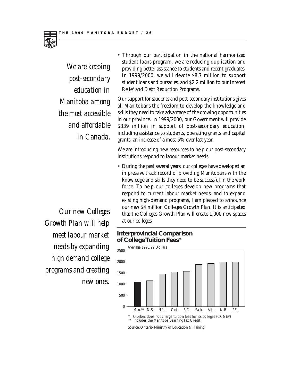

*We are keeping post-secondary education in Manitoba among the most accessible and affordable in Canada.*

• Through our participation in the national harmonized student loans program, we are reducing duplication and providing better assistance to students and recent graduates. In 1999/2000, we will devote \$8.7 million to support student loans and bursaries, and \$2.2 million to our Interest Relief and Debt Reduction Programs.

Our support for students and post-secondary institutions gives all Manitobans the freedom to develop the knowledge and skills they need to take advantage of the growing opportunities in our province. In 1999/2000, our Government will provide \$339 million in support of post-secondary education, including assistance to students, operating grants and capital grants, an increase of almost 5% over last year.

We are introducing new resources to help our post-secondary institutions respond to labour market needs.

• During the past several years, our colleges have developed an impressive track record of providing Manitobans with the knowledge and skills they need to be successful in the work force. To help our colleges develop new programs that respond to current labour market needs, and to expand existing high-demand programs, I am pleased to announce our new \$4 million Colleges Growth Plan. It is anticipated that the Colleges Growth Plan will create 1,000 new spaces at our colleges.

#### **Interprovincial Comparison of College Tuition Fees\***



*Our new Colleges Growth Plan will help meet labour market needs by expanding high demand college programs and creating new ones.*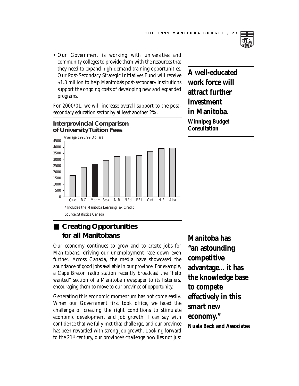

• Our Government is working with universities and community colleges to provide them with the resources that they need to expand high-demand training opportunities. Our Post-Secondary Strategic Initiatives Fund will receive \$1.3 million to help Manitoba's post-secondary institutions support the ongoing costs of developing new and expanded programs.

For 2000/01, we will increase overall support to the postsecondary education sector by at least another 2%.

## **Interprovincial Comparison of University Tuition Fees**



## ■ **Creating Opportunities for all Manitobans**

Our economy continues to grow and to create jobs for Manitobans, driving our unemployment rate down even further. Across Canada, the media have showcased the abundance of good jobs available in our province. For example, a Cape Breton radio station recently broadcast the "help wanted" section of a Manitoba newspaper to its listeners, encouraging them to move to our province of opportunity.

Generating this economic momentum has not come easily. When our Government first took office, we faced the challenge of creating the right conditions to stimulate economic development and job growth. I can say with confidence that we fully met that challenge, and our province has been rewarded with strong job growth. Looking forward to the 21st century, our province's challenge now lies not just **Manitoba has "an astounding competitive advantage…it has the knowledge base to compete effectively in this smart new economy." Nuala Beck and Associates**

**A well-educated work force will attract further investment in Manitoba. Winnipeg Budget**

**Consultation**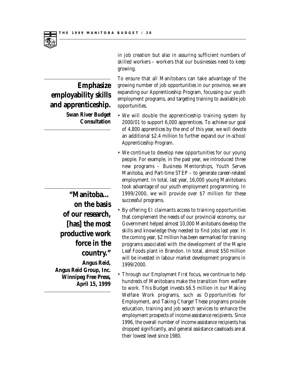

## **Emphasize employability skills and apprenticeship. Swan River Budget Consultation**

**"Manitoba… on the basis of our research, [has] the most productive work force in the country." Angus Reid, Angus Reid Group, Inc. Winnipeg Free Press, April 15, 1999** in job creation but also in assuring sufficient numbers of skilled workers – workers that our businesses need to keep growing.

To ensure that all Manitobans can take advantage of the growing number of job opportunities in our province, we are expanding our Apprenticeship Program, focussing our youth employment programs, and targeting training to available job opportunities.

- We will double the apprenticeship training system by 2000/01 to support 6,000 apprentices. To achieve our goal of 4,800 apprentices by the end of this year, we will devote an additional \$2.4 million to further expand our in-school Apprenticeship Program.
- We continue to develop new opportunities for our young people. For example, in the past year, we introduced three new programs – Business Mentorships, Youth Serves Manitoba, and Part-time STEP – to generate career-related employment. In total, last year, 16,000 young Manitobans took advantage of our youth employment programming. In 1999/2000, we will provide over \$7 million for these successful programs.
- By offering EI claimants access to training opportunities that complement the needs of our provincial economy, our Government helped almost 10,000 Manitobans develop the skills and knowledge they needed to find jobs last year. In the coming year, \$2 million has been earmarked for training programs associated with the development of the Maple Leaf Foods plant in Brandon. In total, almost \$50 million will be invested in labour market development programs in 1999/2000.
- Through our *Employment First* focus, we continue to help hundreds of Manitobans make the transition from welfare to work. This Budget invests \$6.5 million in our Making Welfare Work programs, such as Opportunities for Employment, and Taking Charge! These programs provide education, training and job search services to enhance the employment prospects of income assistance recipients. Since 1996, the overall number of income assistance recipients has dropped significantly, and general assistance caseloads are at their lowest level since 1980.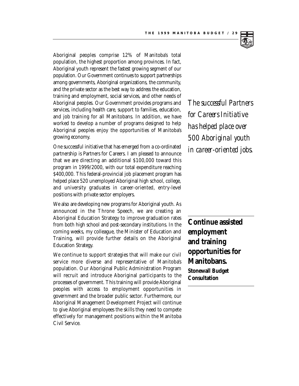

Aboriginal peoples comprise 12% of Manitoba's total population, the highest proportion among provinces. In fact, Aboriginal youth represent the fastest growing segment of our population. Our Government continues to support partnerships among governments, Aboriginal organizations, the community, and the private sector as the best way to address the education, training and employment, social services, and other needs of Aboriginal peoples. Our Government provides programs and services, including health care, support to families, education, and job training for all Manitobans. In addition, we have worked to develop a number of programs designed to help Aboriginal peoples enjoy the opportunities of Manitoba's growing economy.

One successful initiative that has emerged from a co-ordinated partnership is Partners for Careers. I am pleased to announce that we are directing an additional \$100,000 toward this program in 1999/2000, with our total expenditure reaching \$400,000. This federal-provincial job placement program has helped place 520 unemployed Aboriginal high school, college, and university graduates in career-oriented, entry-level positions with private sector employers.

We also are developing new programs for Aboriginal youth. As announced in the Throne Speech, we are creating an Aboriginal Education Strategy to improve graduation rates from both high school and post-secondary institutions. In the coming weeks, my colleague, the Minister of Education and Training, will provide further details on the Aboriginal Education Strategy.

We continue to support strategies that will make our civil service more diverse and representative of Manitoba's population. Our Aboriginal Public Administration Program will recruit and introduce Aboriginal participants to the processes of government. This training will provide Aboriginal peoples with access to employment opportunities in government and the broader public sector. Furthermore, our Aboriginal Management Development Project will continue to give Aboriginal employees the skills they need to compete effectively for management positions within the Manitoba Civil Service.

*The successful Partners for Careers Initiative has helped place over 500 Aboriginal youth in career-oriented jobs.*

**Continue assisted employment and training opportunities for Manitobans. Stonewall Budget Consultation**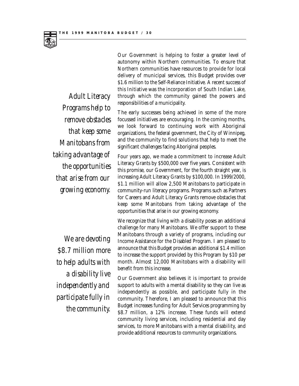*Adult Literacy Programs help to remove obstacles that keep some Manitobans from taking advantage of the opportunities that arise from our growing economy.*

*We are devoting \$8.7 million more to help adults with a disability live independently and participate fully in the community.*

Our Government is helping to foster a greater level of autonomy within Northern communities. To ensure that Northern communities have resources to provide for local delivery of municipal services, this Budget provides over \$1.6 million to the Self-Reliance Initiative. A recent success of this Initiative was the incorporation of South Indian Lake, through which the community gained the powers and responsibilities of a municipality.

The early successes being achieved in some of the more focussed initiatives are encouraging. In the coming months, we look forward to continuing work with Aboriginal organizations, the federal government, the City of Winnipeg, and the community to find solutions that help to meet the significant challenges facing Aboriginal peoples.

Four years ago, we made a commitment to increase Adult Literacy Grants by \$500,000 over five years. Consistent with this promise, our Government, for the fourth straight year, is increasing Adult Literacy Grants by \$100,000. In 1999/2000, \$1.1 million will allow 2,500 Manitobans to participate in community-run literacy programs. Programs such as Partners for Careers and Adult Literacy Grants remove obstacles that keep some Manitobans from taking advantage of the opportunities that arise in our growing economy.

We recognize that living with a disability poses an additional challenge for many Manitobans. We offer support to these Manitobans through a variety of programs, including our Income Assistance for the Disabled Program. I am pleased to announce that this Budget provides an additional \$1.4 million to increase the support provided by this Program by \$10 per month. Almost 12,000 Manitobans with a disability will benefit from this increase.

Our Government also believes it is important to provide support to adults with a mental disability so they can live as independently as possible, and participate fully in the community. Therefore, I am pleased to announce that this Budget increases funding for Adult Services programming by \$8.7 million, a 12% increase. These funds will extend community living services, including residential and day services, to more Manitobans with a mental disability, and provide additional resources to community organizations.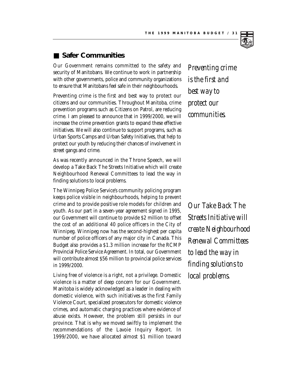## ■ Safer Communities

Our Government remains committed to the safety and security of Manitobans. We continue to work in partnership with other governments, police and community organizations to ensure that Manitobans feel safe in their neighbourhoods.

Preventing crime is the first and best way to protect our citizens and our communities. Throughout Manitoba, crime prevention programs such as Citizens on Patrol, are reducing crime. I am pleased to announce that in 1999/2000, we will increase the crime prevention grants to expand these effective initiatives. We will also continue to support programs, such as Urban Sports Camps and Urban Safety Initiatives, that help to protect our youth by reducing their chances of involvement in street gangs and crime.

As was recently announced in the Throne Speech, we will develop a Take Back The Streets Initiative which will create Neighbourhood Renewal Committees to lead the way in finding solutions to local problems.

The Winnipeg Police Service's community policing program keeps police visible in neighbourhoods, helping to prevent crime and to provide positive role models for children and youth. As our part in a seven-year agreement signed in 1995, our Government will continue to provide \$2 million to offset the cost of an additional 40 police officers in the City of Winnipeg. Winnipeg now has the second-highest per capita number of police officers of any major city in Canada. This Budget also provides a \$1.3 million increase for the RCMP Provincial Police Service Agreement. In total, our Government will contribute almost \$56 million to provincial police services in 1999/2000.

Living free of violence is a right, not a privilege. Domestic violence is a matter of deep concern for our Government. Manitoba is widely acknowledged as a leader in dealing with domestic violence, with such initiatives as the first Family Violence Court, specialized prosecutors for domestic violence crimes, and automatic charging practices where evidence of abuse exists. However, the problem still persists in our province. That is why we moved swiftly to implement the recommendations of the Lavoie Inquiry Report. In 1999/2000, we have allocated almost \$1 million toward

*Preventing crime is the first and best way to protect our communities.*

*Our Take Back The Streets Initiative will create Neighbourhood Renewal Committees to lead the way in finding solutions to local problems.*

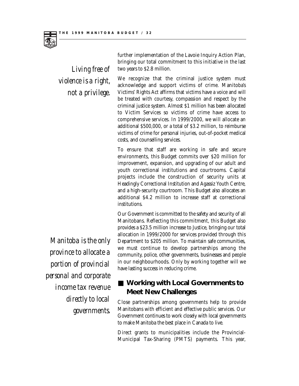

*Living free of violence is a right, not a privilege.*

We recognize that the criminal justice system must acknowledge and support victims of crime. Manitoba's Victims' Rights Act affirms that victims have a voice and will be treated with courtesy, compassion and respect by the criminal justice system. Almost \$1 million has been allocated to Victim Services so victims of crime have access to comprehensive services. In 1999/2000, we will allocate an additional \$500,000, or a total of \$3.2 million, to reimburse victims of crime for personal injuries, out-of-pocket medical costs, and counselling services.

further implementation of the Lavoie Inquiry Action Plan, bringing our total commitment to this initiative in the last

two years to \$2.8 million.

To ensure that staff are working in safe and secure environments, this Budget commits over \$20 million for improvement, expansion, and upgrading of our adult and youth correctional institutions and courtrooms. Capital projects include the construction of security units at Headingly Correctional Institution and Agassiz Youth Centre, and a high-security courtroom. This Budget also allocates an additional \$4.2 million to increase staff at correctional institutions.

Our Government is committed to the safety and security of all Manitobans. Reflecting this commitment, this Budget also provides a \$23.5 million increase to Justice, bringing our total allocation in 1999/2000 for services provided through this Department to \$205 million. To maintain safe communities, we must continue to develop partnerships among the community, police, other governments, businesses and people in our neighbourhoods. Only by working together will we have lasting success in reducing crime.

## ■ Working with Local Governments to **Meet New Challenges**

Close partnerships among governments help to provide Manitobans with efficient and effective public services. Our Government continues to work closely with local governments to make Manitoba the best place in Canada to live.

Direct grants to municipalities include the Provincial-Municipal Tax-Sharing (PMTS) payments. This year,

*Manitoba is the only province to allocate a portion of provincial personal and corporate income tax revenue directly to local governments.*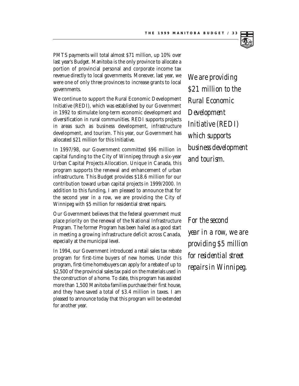

PMTS payments will total almost \$71 million, up 10% over last year's Budget. Manitoba is the only province to allocate a portion of provincial personal and corporate income tax revenue directly to local governments. Moreover, last year, we were one of only three provinces to increase grants to local governments.

We continue to support the Rural Economic Development Initiative (REDI), which was established by our Government in 1992 to stimulate long-term economic development and diversification in rural communities. REDI supports projects in areas such as business development, infrastructure development, and tourism. This year, our Government has allocated \$21 million for this Initiative.

In 1997/98, our Government committed \$96 million in capital funding to the City of Winnipeg through a six-year Urban Capital Projects Allocation. Unique in Canada, this program supports the renewal and enhancement of urban infrastructure. This Budget provides \$18.6 million for our contribution toward urban capital projects in 1999/2000. In addition to this funding, I am pleased to announce that for the second year in a row, we are providing the City of Winnipeg with \$5 million for residential street repairs.

Our Government believes that the federal government must place priority on the renewal of the National Infrastructure Program. The former Program has been hailed as a good start in meeting a growing infrastructure deficit across Canada, especially at the municipal level.

In 1994, our Government introduced a retail sales tax rebate program for first-time buyers of new homes. Under this program, first-time homebuyers can apply for a rebate of up to \$2,500 of the provincial sales tax paid on the materials used in the construction of a home. To date, this program has assisted more than 1,500 Manitoba families purchase their first house, and they have saved a total of \$3.4 million in taxes. I am pleased to announce today that this program will be extended for another year.

*We are providing \$21 million to the Rural Economic Development Initiative (REDI) which supports business development and tourism.*

*For the second year in a row, we are providing \$5 million for residential street repairs in Winnipeg.*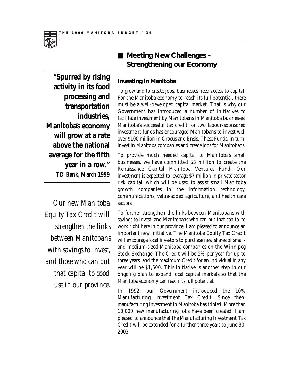

*Our new Manitoba Equity Tax Credit will strengthen the links between Manitobans with savings to invest, and those who can put that capital to good use in our province.*

## ■ Meeting New Challenges – **Strengthening our Economy**

### **Investing in Manitoba**

To grow and to create jobs, businesses need access to capital. For the Manitoba economy to reach its full potential, there must be a well-developed capital market. That is why our Government has introduced a number of initiatives to facilitate investment by Manitobans in Manitoba businesses. Manitoba's successful tax credit for two labour-sponsored investment funds has encouraged Manitobans to invest well over \$100 million in Crocus and Ensis. These Funds, in turn, invest in Manitoba companies and create jobs for Manitobans.

To provide much needed capital to Manitoba's small businesses, we have committed \$3 million to create the Renaissance Capital Manitoba Ventures Fund. Our investment is expected to leverage \$7 million in private sector risk capital, which will be used to assist small Manitoba growth companies in the information technology, communications, value-added agriculture, and health care sectors.

To further strengthen the links between Manitobans with savings to invest, and Manitobans who can put that capital to work right here in our province, I am pleased to announce an important new initiative. The Manitoba Equity Tax Credit will encourage local investors to purchase new shares of smalland medium-sized Manitoba companies on the Winnipeg Stock Exchange. The Credit will be 5% per year for up to three years, and the maximum Credit for an individual in any year will be \$1,500. This initiative is another step in our ongoing plan to expand local capital markets so that the Manitoba economy can reach its full potential.

In 1992, our Government introduced the 10% Manufacturing Investment Tax Credit. Since then, manufacturing investment in Manitoba has tripled. More than 10,000 new manufacturing jobs have been created. I am pleased to announce that the Manufacturing Investment Tax Credit will be extended for a further three years to June 30, 2003.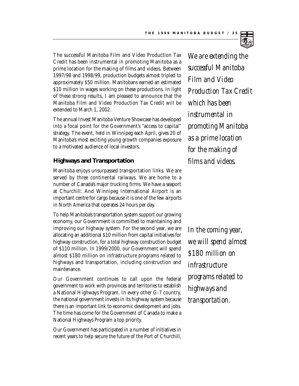

The successful Manitoba Film and Video Production Tax Credit has been instrumental in promoting Manitoba as a prime location for the making of films and videos. Between 1997/98 and 1998/99, production budgets almost tripled to approximately \$50 million. Manitobans earned an estimated \$10 million in wages working on these productions. In light of these strong results, I am pleased to announce that the Manitoba Film and Video Production Tax Credit will be extended to March 1, 2002.

The annual Invest Manitoba Venture Showcase has developed into a focal point for the Government's "access to capital" strategy. The event, held in Winnipeg each April, gives 20 of Manitoba's most exciting young growth companies exposure to a motivated audience of local investors.

#### **Highways and Transportation**

Manitoba enjoys unsurpassed transportation links. We are served by three continental railways. We are home to a number of Canada's major trucking firms. We have a seaport at Churchill. And Winnipeg International Airport is an important centre for cargo because it is one of the few airports in North America that operates 24 hours per day.

To help Manitoba's transportation system support our growing economy, our Government is committed to maintaining and improving our highway system. For the second year, we are allocating an additional \$10 million from capital initiatives for highway construction, for a total highway construction budget of \$110 million. In 1999/2000, our Government will spend almost \$180 million on infrastructure programs related to highways and transportation, including construction and maintenance.

Our Government continues to call upon the federal government to work with provinces and territories to establish a National Highways Program. In every other G-7 country, the national government invests in its highway system because there is an important link to economic development and jobs. The time has come for the Government of Canada to make a National Highways Program a top priority.

Our Government has participated in a number of initiatives in recent years to help secure the future of the Port of Churchill,

*We are extending the successful Manitoba Film and Video Production Tax Credit which has been instrumental in promoting Manitoba as a prime location for the making of films and videos.*

*In the coming year, we will spend almost \$180 million on infrastructure programs related to highways and transportation.*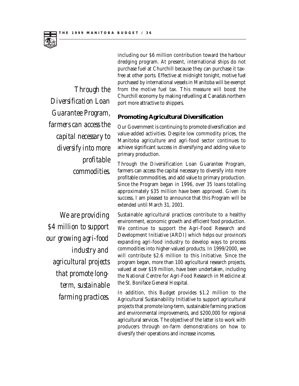

*Through the Diversification Loan Guarantee Program, farmers can access the capital necessary to diversify into more profitable commodities.*

*We are providing \$4 million to support our growing agri-food industry and agricultural projects that promote longterm, sustainable farming practices.*

including our \$6 million contribution toward the harbour dredging program. At present, international ships do not purchase fuel at Churchill because they can purchase it taxfree at other ports. Effective at midnight tonight, motive fuel purchased by international vessels in Manitoba will be exempt from the motive fuel tax. This measure will boost the Churchill economy by making refuelling at Canada's northern port more attractive to shippers.

#### **Promoting Agricultural Diversification**

Our Government is continuing to promote diversification and value-added activities. Despite low commodity prices, the Manitoba agriculture and agri-food sector continues to achieve significant success in diversifying and adding value to primary production.

Through the Diversification Loan Guarantee Program, farmers can access the capital necessary to diversify into more profitable commodities, and add value to primary production. Since the Program began in 1996, over 35 loans totalling approximately \$35 million have been approved. Given its success, I am pleased to announce that this Program will be extended until March 31, 2001.

Sustainable agricultural practices contribute to a healthy environment, economic growth and efficient food production. We continue to support the Agri-Food Research and Development Initiative (ARDI) which helps our province's expanding agri-food industry to develop ways to process commodities into higher-valued products. In 1999/2000, we will contribute \$2.6 million to this Initiative. Since the program began, more than 100 agricultural research projects, valued at over \$19 million, have been undertaken, including the National Centre for Agri-Food Research in Medicine at the St. Boniface General Hospital.

In addition, this Budget provides \$1.2 million to the Agricultural Sustainability Initiative to support agricultural projects that promote long-term, sustainable farming practices and environmental improvements, and \$200,000 for regional agricultural services. The objective of the latter is to work with producers through on-farm demonstrations on how to diversify their operations and increase incomes.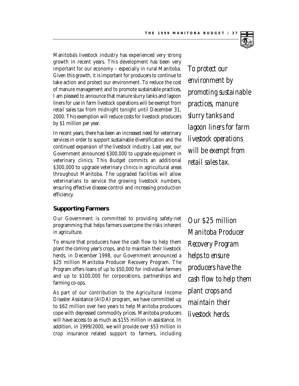

Manitoba's livestock industry has experienced very strong growth in recent years. This development has been very important for our economy – especially in rural Manitoba. Given this growth, it is important for producers to continue to take action and protect our environment. To reduce the cost of manure management and to promote sustainable practices, I am pleased to announce that manure slurry tanks and lagoon liners for use in farm livestock operations will be exempt from retail sales tax from midnight tonight until December 31, 2000. This exemption will reduce costs for livestock producers by \$1 million per year.

In recent years, there has been an increased need for veterinary services in order to support sustainable diversification and the continued expansion of the livestock industry. Last year, our Government announced \$300,000 to upgrade equipment in veterinary clinics. This Budget commits an additional \$300,000 to upgrade veterinary clinics in agricultural areas throughout Manitoba. The upgraded facilities will allow veterinarians to service the growing livestock numbers, ensuring effective disease control and increasing production efficiency.

#### **Supporting Farmers**

Our Government is committed to providing safety-net programming that helps farmers overcome the risks inherent in agriculture.

To ensure that producers have the cash flow to help them plant the coming year's crops, and to maintain their livestock herds, in December 1998, our Government announced a \$25 million Manitoba Producer Recovery Program. The Program offers loans of up to \$50,000 for individual farmers and up to \$100,000 for corporations, partnerships and farming co-ops.

As part of our contribution to the Agricultural Income Disaster Assistance (AIDA) program, we have committed up to \$62 million over two years to help Manitoba producers cope with depressed commodity prices. Manitoba producers will have access to as much as \$155 million in assistance. In addition, in 1999/2000, we will provide over \$53 million in crop insurance related support to farmers, including

*To protect our environment by promoting sustainable practices, manure slurry tanks and lagoon liners for farm livestock operations will be exempt from retail sales tax.*

*Our \$25 million Manitoba Producer Recovery Program helps to ensure producers have the cash flow to help them plant crops and maintain their livestock herds.*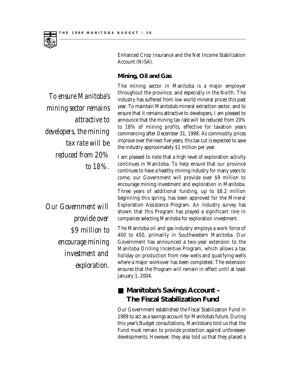

*To ensure Manitoba's mining sector remains attractive to developers, the mining tax rate will be reduced from 20% to 18%.*

*Our Government will provide over \$9 million to encourage mining investment and exploration.*

Enhanced Crop Insurance and the Net Income Stabilization Account (NISA).

### **Mining, Oil and Gas**

The mining sector in Manitoba is a major employer throughout the province, and especially in the North. The industry has suffered from low world mineral prices this past year. To maintain Manitoba's mineral extraction sector, and to ensure that it remains attractive to developers, I am pleased to announce that the mining tax rate will be reduced from 20% to 18% of mining profits, effective for taxation years commencing after December 31, 1998. As commodity prices improve over the next five years, this tax cut is expected to save the industry approximately \$1 million per year.

I am pleased to note that a high level of exploration activity continues in Manitoba. To help ensure that our province continues to have a healthy mining industry for many years to come, our Government will provide over \$9 million to encourage mining investment and exploration in Manitoba. Three years of additional funding, up to \$8.2 million beginning this spring, has been approved for the Mineral Exploration Assistance Program. An industry survey has shown that this Program has played a significant role in companies selecting Manitoba for exploration investment.

The Manitoba oil and gas industry employs a work force of 400 to 450, primarily in Southwestern Manitoba. Our Government has announced a two-year extension to the Manitoba Drilling Incentive Program, which allows a tax holiday on production from new wells and qualifying wells where a major workover has been completed. The extension ensures that the Program will remain in effect until at least January 1, 2004.

## ■ Manitoba's Savings Account – **The Fiscal Stabilization Fund**

Our Government established the Fiscal Stabilization Fund in 1989 to act as a savings account for Manitoba's future. During this year's Budget consultations, Manitobans told us that the Fund must remain to provide protection against unforeseen developments. However, they also told us that they placed a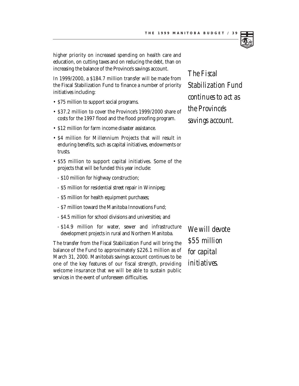

higher priority on increased spending on health care and education, on cutting taxes and on reducing the debt, than on increasing the balance of the Province's savings account.

In 1999/2000, a \$184.7 million transfer will be made from the Fiscal Stabilization Fund to finance a number of priority initiatives including:

- \$75 million to support social programs.
- \$37.2 million to cover the Province's 1999/2000 share of costs for the 1997 flood and the flood proofing program.
- \$12 million for farm income disaster assistance.
- \$4 million for Millennium Projects that will result in enduring benefits, such as capital initiatives, endowments or trusts.
- \$55 million to support capital initiatives. Some of the projects that will be funded this year include:
	- \$10 million for highway construction;
	- \$5 million for residential street repair in Winnipeg;
	- \$5 million for health equipment purchases;
	- \$7 million toward the Manitoba Innovations Fund;
	- \$4.5 million for school divisions and universities; and
	- \$14.9 million for water, sewer and infrastructure development projects in rural and Northern Manitoba.

The transfer from the Fiscal Stabilization Fund will bring the balance of the Fund to approximately \$226.1 million as of March 31, 2000. Manitoba's savings account continues to be one of the key features of our fiscal strength, providing welcome insurance that we will be able to sustain public services in the event of unforeseen difficulties.

*We will devote \$55 million for capital initiatives.*

*The Fiscal Stabilization Fund continues to act as the Province's savings account.*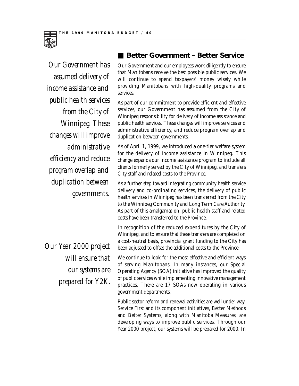

*Our Government has assumed delivery of income assistance and public health services from the City of Winnipeg. These changes will improve administrative efficiency and reduce program overlap and duplication between governments.*

*Our Year 2000 project will ensure that our systems are prepared for Y2K.*

## ■ Better Government – Better Service

Our Government and our employees work diligently to ensure that Manitobans receive the best possible public services. We will continue to spend taxpayers' money wisely while providing Manitobans with high-quality programs and services.

As part of our commitment to provide efficient and effective services, our Government has assumed from the City of Winnipeg responsibility for delivery of income assistance and public health services. These changes will improve services and administrative efficiency, and reduce program overlap and duplication between governments.

As of April 1, 1999, we introduced a one-tier welfare system for the delivery of income assistance in Winnipeg. This change expands our income assistance program to include all clients formerly served by the City of Winnipeg, and transfers City staff and related costs to the Province.

As a further step toward integrating community health service delivery and co-ordinating services, the delivery of public health services in Winnipeg has been transferred from the City to the Winnipeg Community and Long Term Care Authority. As part of this amalgamation, public health staff and related costs have been transferred to the Province.

In recognition of the reduced expenditures by the City of Winnipeg, and to ensure that these transfers are completed on a cost-neutral basis, provincial grant funding to the City has been adjusted to offset the additional costs to the Province.

We continue to look for the most effective and efficient ways of serving Manitobans. In many instances, our Special Operating Agency (SOA) initiative has improved the quality of public services while implementing innovative management practices. There are 17 SOAs now operating in various government departments.

Public sector reform and renewal activities are well under way. Service First and its component initiatives, Better Methods and Better Systems, along with Manitoba Measures, are developing ways to improve public services. Through our Year 2000 project, our systems will be prepared for 2000. In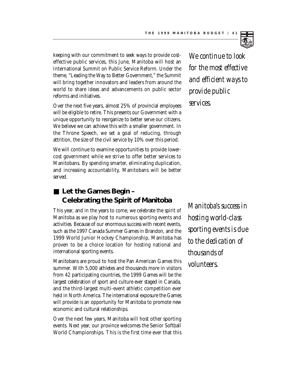

Over the next five years, almost 25% of provincial employees will be eligible to retire. This presents our Government with a unique opportunity to reorganize to better serve our citizens. We believe we can achieve this with a smaller government. In the Throne Speech, we set a goal of reducing, through attrition, the size of the civil service by 10% over this period.

We will continue to examine opportunities to provide lowercost government while we strive to offer better services to Manitobans. By spending smarter, eliminating duplication, and increasing accountability, Manitobans will be better served.

## ■ Let the Games Begin – **Celebrating the Spirit of Manitoba**

This year, and in the years to come, we celebrate the spirit of Manitoba as we play host to numerous sporting events and activities. Because of our enormous success with recent events, such as the 1997 Canada Summer Games in Brandon, and the 1999 World Junior Hockey Championship, Manitoba has proven to be a choice location for hosting national and international sporting events.

Manitobans are proud to host the Pan American Games this summer. With 5,000 athletes and thousands more in visitors from 42 participating countries, the 1999 Games will be the largest celebration of sport and culture ever staged in Canada, and the third-largest multi-event athletic competition ever held in North America. The international exposure the Games will provide is an opportunity for Manitoba to promote new economic and cultural relationships.

Over the next few years, Manitoba will host other sporting events. Next year, our province welcomes the Senior Softball World Championships. This is the first time ever that this

*We continue to look for the most effective and efficient ways to provide public services.*

*Manitoba's success in hosting world-class sporting events is due to the dedication of thousands of volunteers.*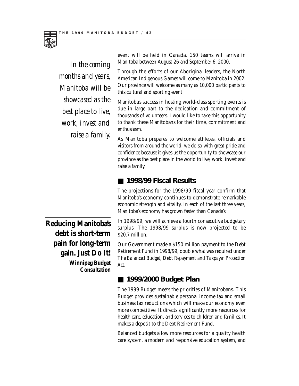

*In the coming months and years, Manitoba will be showcased as the best place to live, work, invest and raise a family.*

event will be held in Canada. 150 teams will arrive in Manitoba between August 26 and September 6, 2000.

Through the efforts of our Aboriginal leaders, the North American Indigenous Games will come to Manitoba in 2002. Our province will welcome as many as 10,000 participants to this cultural and sporting event.

Manitoba's success in hosting world-class sporting events is due in large part to the dedication and commitment of thousands of volunteers. I would like to take this opportunity to thank these Manitobans for their time, commitment and enthusiasm.

As Manitoba prepares to welcome athletes, officials and visitors from around the world, we do so with great pride and confidence because it gives us the opportunity to showcase our province as the best place in the world to live, work, invest and raise a family.

## ■ 1998/99 Fiscal Results

The projections for the 1998/99 fiscal year confirm that Manitoba's economy continues to demonstrate remarkable economic strength and vitality. In each of the last three years, Manitoba's economy has grown faster than Canada's.

In 1998/99, we will achieve a fourth consecutive budgetary surplus. The 1998/99 surplus is now projected to be \$20.7 million.

Our Government made a \$150 million payment to the Debt Retirement Fund in 1998/99, double what was required under *The Balanced Budget, Debt Repayment and Taxpayer Protection Act.*

## ■ **1999/2000 Budget Plan**

The 1999 Budget meets the priorities of Manitobans. This Budget provides sustainable personal income tax and small business tax reductions which will make our economy even more competitive. It directs significantly more resources for health care, education, and services to children and families. It makes a deposit to the Debt Retirement Fund.

Balanced budgets allow more resources for a quality health care system, a modern and responsive education system, and

**Reducing Manitoba's debt is short-term pain for long-term gain. Just Do It! Winnipeg Budget Consultation**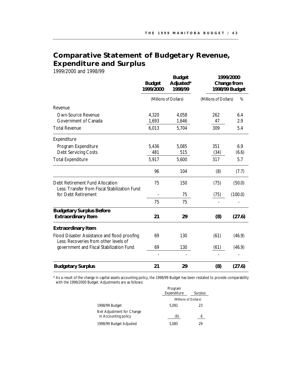## **Comparative Statement of Budgetary Revenue, Expenditure and Surplus**

1999/2000 and 1998/99

|                                                                                       | <b>Budget</b><br>1999/2000 | <b>Budget</b><br>Adjusted*<br>1998/99 |                       | 1999/2000<br>Change from<br>1998/99 Budget |
|---------------------------------------------------------------------------------------|----------------------------|---------------------------------------|-----------------------|--------------------------------------------|
|                                                                                       |                            | (Millions of Dollars)                 | (Millions of Dollars) | %                                          |
| Revenue                                                                               |                            |                                       |                       |                                            |
| Own-Source Revenue                                                                    | 4,320                      | 4,058                                 | 262                   | 6.4                                        |
| Government of Canada                                                                  | 1,693                      | 1,646                                 | 47                    | 2.9                                        |
| <b>Total Revenue</b>                                                                  | 6,013                      | 5,704                                 | 309                   | 5.4                                        |
| Expenditure                                                                           |                            |                                       |                       |                                            |
| Program Expenditure                                                                   | 5,436                      | 5,085                                 | 351                   | 6.9                                        |
| <b>Debt Servicing Costs</b>                                                           | 481                        | 515                                   | (34)                  | (6.6)                                      |
| <b>Total Expenditure</b>                                                              | 5,917                      | 5,600                                 | 317                   | 5.7                                        |
|                                                                                       | 96                         | 104                                   | (8)                   | (7.7)                                      |
| Debt Retirement Fund Allocation<br>Less: Transfer from Fiscal Stabilization Fund      | 75                         | 150                                   | (75)                  | (50.0)                                     |
| for Debt Retirement                                                                   |                            | 75                                    | (75)                  | (100.0)                                    |
|                                                                                       | 75                         | 75                                    |                       |                                            |
| <b>Budgetary Surplus Before</b>                                                       |                            |                                       |                       |                                            |
| <b>Extraordinary Item</b>                                                             | 21                         | 29                                    | (8)                   | (27.6)                                     |
| <b>Extraordinary Item</b>                                                             |                            |                                       |                       |                                            |
| Flood Disaster Assistance and flood proofing<br>Less: Recoveries from other levels of | 69                         | 130                                   | (61)                  | (46.9)                                     |
| government and Fiscal Stabilization Fund                                              | 69                         | 130                                   | (61)                  | (46.9)                                     |
|                                                                                       |                            |                                       |                       |                                            |
| <b>Budgetary Surplus</b>                                                              | 21                         | 29                                    | (8)                   | (27.6)                                     |

\* As a result of the change in capital assets accounting policy, the 1998/99 Budget has been restated to provide comparability with the 1999/2000 Budget. Adjustments are as follows:

|                                                   | Program<br>Expenditure | Surplus |  |
|---------------------------------------------------|------------------------|---------|--|
|                                                   | (Millions of Dollars)  |         |  |
| 1998/99 Budget                                    | 5.091                  | 23      |  |
| Net Adjustment for Change<br>in Accounting policy | (6)                    | 6       |  |
| 1998/99 Budget Adjusted                           | 5.085                  | 29      |  |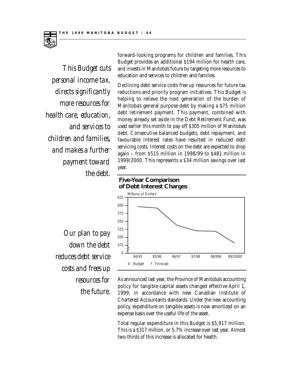

*This Budget cuts personal income tax, directs significantly more resources for health care, education, and services to children and families, and makes a further payment toward the debt.*

forward-looking programs for children and families. This Budget provides an additional \$194 million for health care, and invests in Manitoba's future by targeting more resources to education and services to children and families.

Declining debt service costs free up resources for future tax reductions and priority program initiatives. This Budget is helping to relieve the next generation of the burden of Manitoba's general purpose debt by making a \$75 million debt retirement payment. This payment, combined with money already set aside in the Debt Retirement Fund, was used earlier this month to pay off \$305 million of Manitoba's debt. Consecutive balanced budgets, debt repayment, and favourable interest rates have resulted in reduced debt servicing costs. Interest costs on the debt are expected to drop again – from \$515 million in 1998/99 to \$481 million in 1999/2000. This represents a \$34 million savings over last year.

## **Five-Year Comparison of Debt Interest Charges**



*Our plan to pay down the debt reduces debt service costs and frees up resources for the future.*

As announced last year, the Province of Manitoba's accounting policy for tangible capital assets changed effective April 1, 1999, in accordance with new Canadian Institute of Chartered Accountants standards. Under the new accounting policy, expenditure on tangible assets is now amortized on an expense basis over the useful life of the asset.

Total regular expenditure in this Budget is \$5,917 million. This is a \$317 million, or 5.7% increase over last year. Almost two-thirds of this increase is allocated for health.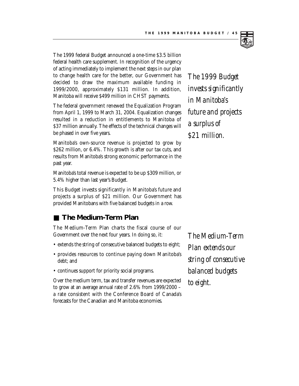

The 1999 federal Budget announced a one-time \$3.5 billion federal health care supplement. In recognition of the urgency of acting immediately to implement the next steps in our plan to change health care for the better, our Government has decided to draw the maximum available funding in 1999/2000, approximately \$131 million. In addition, Manitoba will receive \$499 million in CHST payments.

The federal government renewed the Equalization Program from April 1, 1999 to March 31, 2004. Equalization changes resulted in a reduction in entitlements to Manitoba of \$37 million annually. The effects of the technical changes will be phased in over five years.

Manitoba's own-source revenue is projected to grow by \$262 million, or 6.4%. This growth is after our tax cuts, and results from Manitoba's strong economic performance in the past year.

Manitoba's total revenue is expected to be up \$309 million, or 5.4% higher than last year's Budget.

This Budget invests significantly in Manitoba's future and projects a surplus of \$21 million. Our Government has provided Manitobans with five balanced budgets in a row.

## ■ The Medium-Term Plan

The Medium-Term Plan charts the fiscal course of our Government over the next four years. In doing so, it:

- extends the string of consecutive balanced budgets to eight;
- provides resources to continue paying down Manitoba's debt; and
- continues support for priority social programs.

Over the medium term, tax and transfer revenues are expected to grow at an average annual rate of 2.6% from 1999/2000 – a rate consistent with the Conference Board of Canada's forecasts for the Canadian and Manitoba economies.

*The 1999 Budget invests significantly in Manitoba's future and projects a surplus of \$21 million.*

*The Medium-Term Plan extends our string of consecutive balanced budgets to eight.*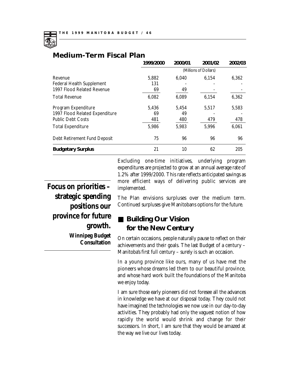

|                                  | 1999/2000             | 2000/01     | 2001/02 | 2002/03 |  |  |
|----------------------------------|-----------------------|-------------|---------|---------|--|--|
|                                  | (Millions of Dollars) |             |         |         |  |  |
| Revenue                          | 5,882                 | 6.040       | 6,154   | 6,362   |  |  |
| <b>Federal Health Supplement</b> | 131                   |             |         |         |  |  |
| 1997 Flood Related Revenue       | 69                    | 49<br>6,089 | 6,154   | 6,362   |  |  |
| <b>Total Revenue</b>             | 6,082                 |             |         |         |  |  |
| Program Expenditure              | 5,436                 | 5.454       | 5,517   | 5,583   |  |  |
| 1997 Flood Related Expenditure   | 69                    | 49          |         |         |  |  |
| <b>Public Debt Costs</b>         | 481                   | 480         | 479     | 478     |  |  |
| <b>Total Expenditure</b>         | 5,986                 | 5,983       | 5,996   | 6,061   |  |  |
| Debt Retirement Fund Deposit     | 75                    | 96          | 96      | 96      |  |  |
| <b>Budgetary Surplus</b>         | 21                    | 10          | 62      | 205     |  |  |

## **Medium-Term Fiscal Plan**

Excluding one-time initiatives, underlying program expenditures are projected to grow at an annual average rate of 1.2% after 1999/2000. This rate reflects anticipated savings as more efficient ways of delivering public services are implemented.

**Focus on priorities – strategic spending positions our province for future growth. Winnipeg Budget Consultation**

The Plan envisions surpluses over the medium term. Continued surpluses give Manitobans options for the future.

## ■ **Building Our Vision for the New Century**

On certain occasions, people naturally pause to reflect on their achievements and their goals. The last Budget of a century – Manitoba's first full century – surely is such an occasion.

In a young province like ours, many of us have met the pioneers whose dreams led them to our beautiful province, and whose hard work built the foundations of the Manitoba we enjoy today.

I am sure those early pioneers did not foresee all the advances in knowledge we have at our disposal today. They could not have imagined the technologies we now use in our day-to-day activities. They probably had only the vaguest notion of how rapidly the world would shrink and change for their successors. In short, I am sure that they would be amazed at the way we live our lives today.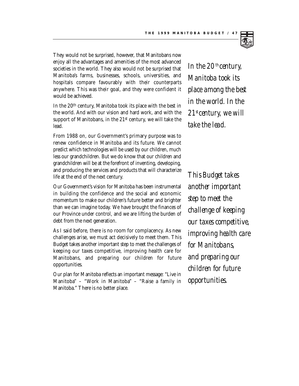

They would not be surprised, however, that Manitobans now enjoy all the advantages and amenities of the most advanced societies in the world. They also would not be surprised that Manitoba's farms, businesses, schools, universities, and hospitals compare favourably with their counterparts anywhere. This was their goal, and they were confident it would be achieved.

In the 20th century, Manitoba took its place with the best in the world. And with our vision and hard work, and with the support of Manitobans, in the 21st century, we will take the lead.

From 1988 on, our Government's primary purpose was to renew confidence in Manitoba and its future. We cannot predict which technologies will be used by our children, much less our grandchildren. But we do know that our children and grandchildren will be at the forefront of inventing, developing, and producing the services and products that will characterize life at the end of the next century.

Our Government's vision for Manitoba has been instrumental in building the confidence and the social and economic momentum to make our children's future better and brighter than we can imagine today. We have brought the finances of our Province under control, and we are lifting the burden of debt from the next generation.

As I said before, there is no room for complacency. As new challenges arise, we must act decisively to meet them. This Budget takes another important step to meet the challenges of keeping our taxes competitive, improving health care for Manitobans, and preparing our children for future opportunities.

Our plan for Manitoba reflects an important message: "Live in Manitoba" – "Work in Manitoba" – "Raise a family in Manitoba." There is no better place.

*In the 20th century, Manitoba took its place among the best in the world. In the 21stcentury, we will take the lead.*

*This Budget takes another important step to meet the challenge of keeping our taxes competitive, improving health care for Manitobans, and preparing our children for future opportunities.*